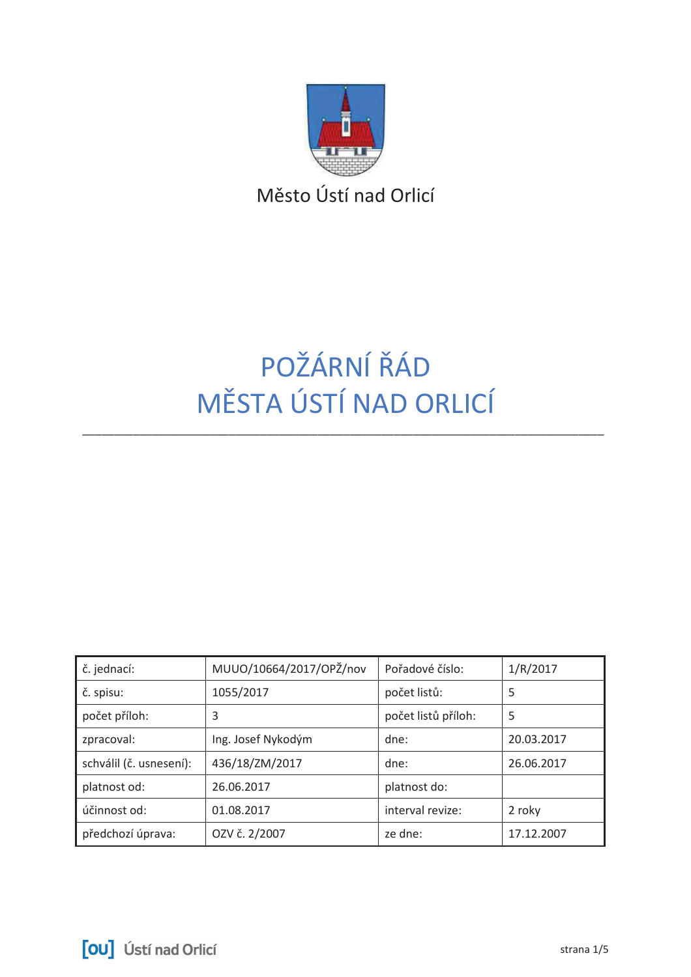

Město Ústí nad Orlicí

# POŽÁRNÍ ŘÁD MĚSTA ÚSTÍ NAD ORLICÍ

| č. jednací:             | MUUO/10664/2017/OPŽ/nov | Pořadové číslo:     | 1/R/2017   |
|-------------------------|-------------------------|---------------------|------------|
| č. spisu:               | 1055/2017               | počet listů:        | 5          |
| počet příloh:           | 3                       | počet listů příloh: | 5          |
| zpracoval:              | Ing. Josef Nykodým      | dne:                | 20.03.2017 |
| schválil (č. usnesení): | 436/18/ZM/2017          | dne:                | 26.06.2017 |
| platnost od:            | 26.06.2017              | platnost do:        |            |
| účinnost od:            | 01.08.2017              | interval revize:    | 2 roky     |
| předchozí úprava:       | OZV č. 2/2007           | ze dne:             | 17.12.2007 |

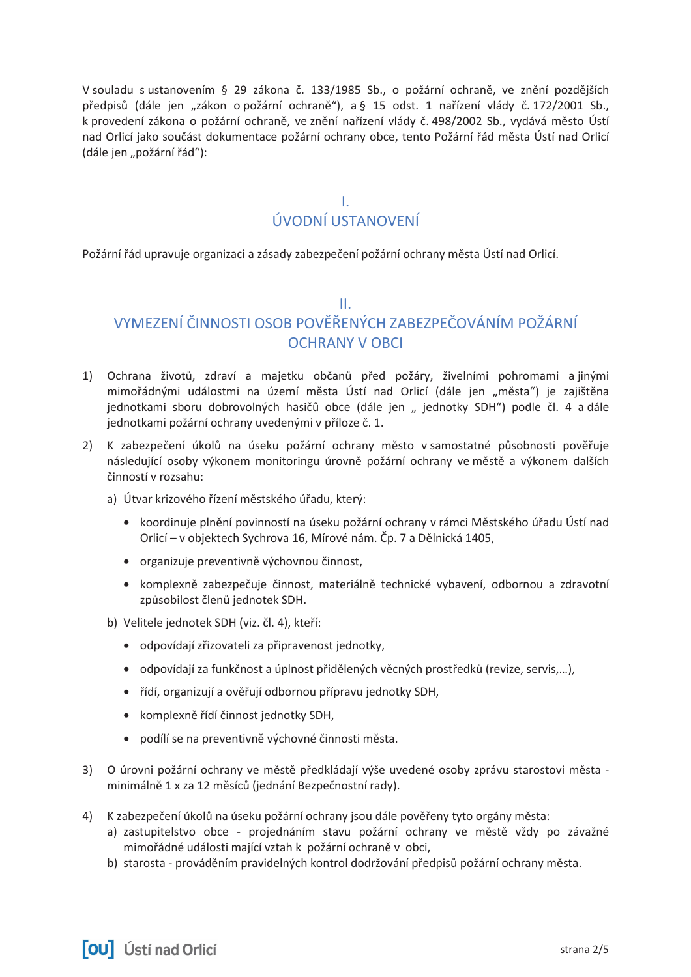V souladu s ustanovením § 29 zákona č. 133/1985 Sb., o požární ochraně, ve znění pozdějších předpisů (dále jen "zákon o požární ochraně"), a § 15 odst. 1 nařízení vlády č. 172/2001 Sb., k provedení zákona o požární ochraně, ve znění nařízení vlády č. 498/2002 Sb., vydává město Ústí nad Orlicí jako součást dokumentace požární ochrany obce, tento Požární řád města Ústí nad Orlicí (dále jen "požární řád"):

> T. ÚVODNÍ USTANOVENÍ

Požární řád upravuje organizaci a zásady zabezpečení požární ochrany města Ústí nad Orlicí.

### $\mathbf{H}$

# VYMEZENÍ ČINNOSTI OSOB POVĚŘENÝCH ZABEZPEČOVÁNÍM POŽÁRNÍ **OCHRANY V OBCL**

- 1) Ochrana životů, zdraví a majetku občanů před požáry, živelními pohromami a jinými mimořádnými událostmi na území města Ústí nad Orlicí (dále jen "města") je zajištěna jednotkami sboru dobrovolných hasičů obce (dále jen " jednotky SDH") podle čl. 4 a dále jednotkami požární ochrany uvedenými v příloze č. 1.
- 2) K zabezpečení úkolů na úseku požární ochrany město v samostatné působnosti pověřuje následující osoby výkonem monitoringu úrovně požární ochrany ve městě a výkonem dalších činností v rozsahu:
	- a) Útvar krizového řízení městského úřadu, který:
		- · koordinuje plnění povinností na úseku požární ochrany v rámci Městského úřadu Ústí nad Orlicí – v objektech Sychrova 16, Mírové nám. Čp. 7 a Dělnická 1405,
		- organizuje preventivně výchovnou činnost,
		- · komplexně zabezpečuje činnost, materiálně technické vybavení, odbornou a zdravotní způsobilost členů jednotek SDH.
	- b) Velitele jednotek SDH (viz. čl. 4), kteří:
		- · odpovídají zřizovateli za připravenost jednotky,
		- · odpovídají za funkčnost a úplnost přidělených věcných prostředků (revize, servis,...),
		- · řídí, organizují a ověřují odbornou přípravu jednotky SDH,
		- · komplexně řídí činnost jednotky SDH,
		- · podílí se na preventivně výchovné činnosti města.
- 3) O úrovni požární ochrany ve městě předkládají výše uvedené osoby zprávu starostovi města minimálně 1 x za 12 měsíců (jednání Bezpečnostní rady).
- 4) K zabezpečení úkolů na úseku požární ochrany jsou dále pověřeny tyto orgány města:
	- a) zastupitelstvo obce projednáním stavu požární ochrany ve městě vždy po závažné mimořádné události mající vztah k požární ochraně v obci,
	- b) starosta prováděním pravidelných kontrol dodržování předpisů požární ochrany města.

**[OU]** Ústí nad Orlicí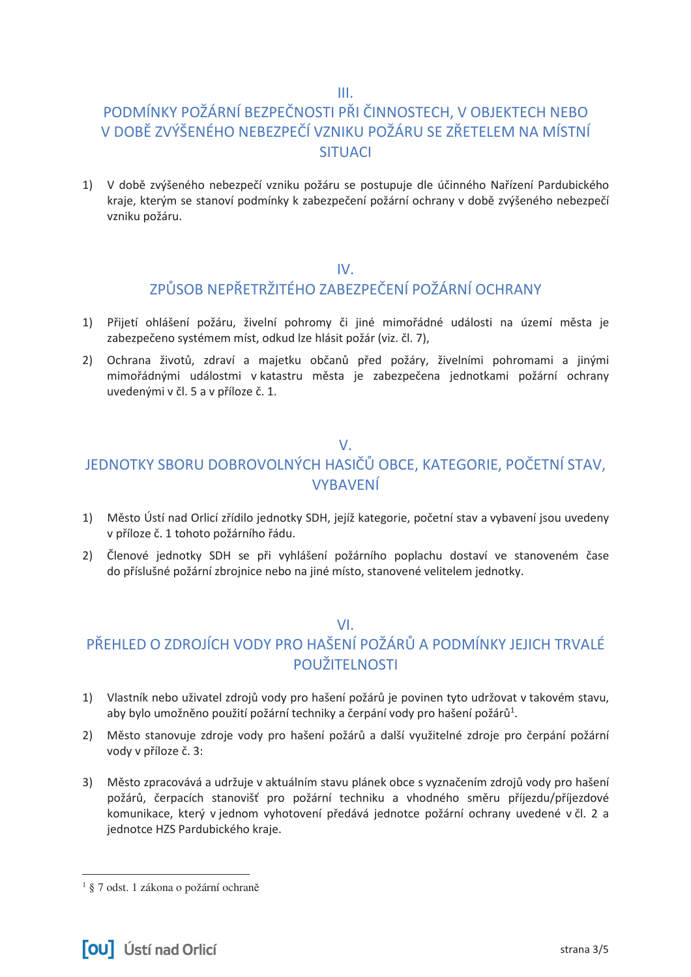$III.$ 

# PODMÍNKY POŽÁRNÍ BEZPEČNOSTI PŘI ČINNOSTECH, V OBJEKTECH NEBO V DOBĚ ZVÝŠENÉHO NEBEZPEČÍ VZNIKU POŽÁRU SE ZŘETELEM NA MÍSTNÍ **SITUACI**

1) V době zvýšeného nebezpečí vzniku požáru se postupuje dle účinného Nařízení Pardubického kraje, kterým se stanoví podmínky k zabezpečení požární ochrany v době zvýšeného nebezpečí vzniku požáru.

### $IV.$

## ZPŮSOB NEPŘETRŽITÉHO ZABEZPEČENÍ POŽÁRNÍ OCHRANY

- 1) Přijetí ohlášení požáru, živelní pohromy či jiné mimořádné události na území města je zabezpečeno systémem míst, odkud lze hlásit požár (viz. čl. 7),
- 2) Ochrana životů, zdraví a majetku občanů před požáry, živelními pohromami a jinými mimořádnými událostmi v katastru města je zabezpečena jednotkami požární ochrany uvedenými v čl. 5 a v příloze č. 1.

### $V_{\cdot}$

# JEDNOTKY SBORU DOBROVOLNÝCH HASIČŮ OBCE, KATEGORIE, POČETNÍ STAV. **VYBAVENÍ**

- 1) Město Ústí nad Orlicí zřídilo jednotky SDH, jejíž kategorie, početní stav a vybavení jsou uvedeny v příloze č. 1 tohoto požárního řádu.
- 2) Členové jednotky SDH se při vyhlášení požárního poplachu dostaví ve stanoveném čase do příslušné požární zbrojnice nebo na jiné místo, stanovené velitelem jednotky.

### $VI.$

# PŘEHLED O ZDROJÍCH VODY PRO HAŠENÍ POŽÁRŮ A PODMÍNKY JEJICH TRVALÉ POUŽITEI NOSTI

- 1) Vlastník nebo uživatel zdrojů vody pro hašení požárů je povinen tyto udržovat v takovém stavu, aby bylo umožněno použití požární techniky a čerpání vody pro hašení požárů<sup>1</sup>.
- 2) Město stanovuje zdroje vody pro hašení požárů a další využitelné zdroje pro čerpání požární vody v příloze č. 3:
- 3) Město zpracovává a udržuje v aktuálním stavu plánek obce s vyznačením zdrojů vody pro hašení požárů, čerpacích stanovišť pro požární techniku a vhodného směru příjezdu/příjezdové komunikace, který v jednom vyhotovení předává jednotce požární ochrany uvedené v čl. 2 a jednotce HZS Pardubického kraje.

<sup>&</sup>lt;sup>1</sup> § 7 odst. 1 zákona o požární ochraně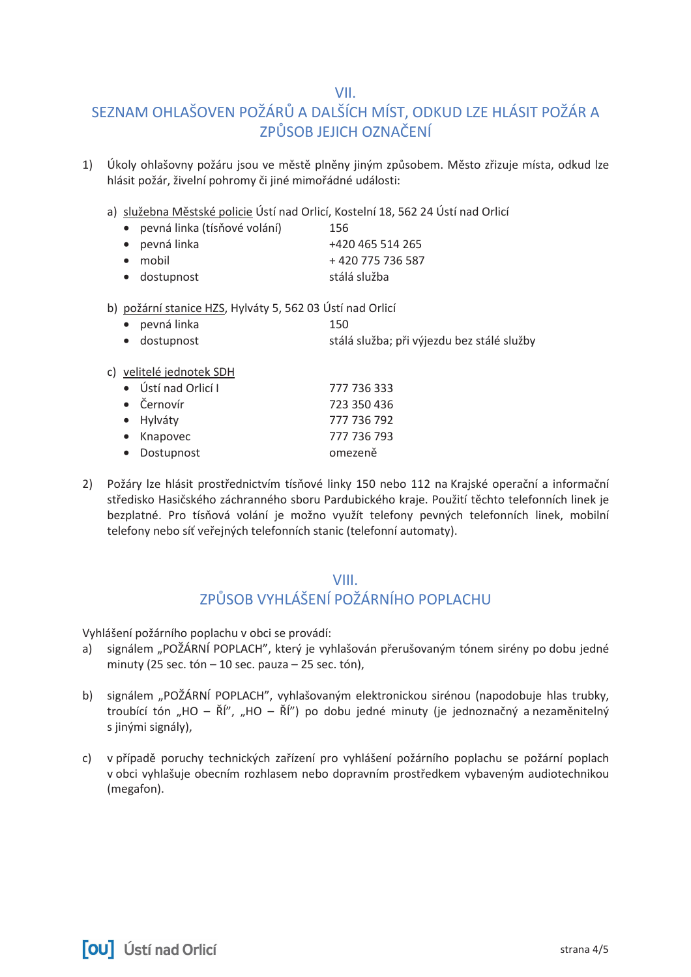VII.

# SEZNAM OHLAŠOVEN POŽÁRŮ A DALŠÍCH MÍST, ODKUD LZE HLÁSIT POŽÁR A ZPŮSOB JEJICH OZNAČENÍ

- Úkoly ohlašovny požáru jsou ve městě plněny jiným způsobem. Město zřizuje místa, odkud lze  $1)$ hlásit požár, živelní pohromy či jiné mimořádné události:
	- a) služebna Městské policie Ústí nad Orlicí, Kostelní 18, 562 24 Ústí nad Orlicí
		- · pevná linka (tísňové volání) 156 · pevná linka +420 465 514 265  $\bullet$  mobil +420775736587 · dostupnost stálá služba
	- b) požární stanice HZS, Hylváty 5, 562 03 Ústí nad Orlicí
		- · pevná linka 150
		- · dostupnost stálá služba; při výjezdu bez stálé služby
	- c) velitelé jednotek SDH

| • Ústí nad Orlicí I | 777 736 333 |
|---------------------|-------------|
| • Černovír          | 723 350 436 |
| • Hylváty           | 777 736 792 |
| • Knapovec          | 777 736 793 |
| • Dostupnost        | omezeně     |

2) Požáry lze hlásit prostřednictvím tísňové linky 150 nebo 112 na Krajské operační a informační středisko Hasičského záchranného sboru Pardubického kraje. Použití těchto telefonních linek je bezplatné. Pro tísňová volání je možno využít telefony pevných telefonních linek, mobilní telefony nebo síť veřejných telefonních stanic (telefonní automaty).

### **VIII** ZPŮSOB VYHLÁŠENÍ POŽÁRNÍHO POPLACHU

Vyhlášení požárního poplachu v obci se provádí:

- a) signálem "POŽÁRNÍ POPLACH", který je vyhlašován přerušovaným tónem sirény po dobu jedné minuty (25 sec. tón  $-10$  sec. pauza  $-25$  sec. tón),
- b) signálem "POŽÁRNÍ POPLACH", vyhlašovaným elektronickou sirénou (napodobuje hlas trubky, troubící tón "HO – ŘÍ", "HO – ŘÍ") po dobu jedné minuty (je jednoznačný a nezaměnitelný s jinými signály),
- c) v případě poruchy technických zařízení pro vyhlášení požárního poplachu se požární poplach v obci vyhlašuje obecním rozhlasem nebo dopravním prostředkem vybaveným audiotechnikou (megafon).

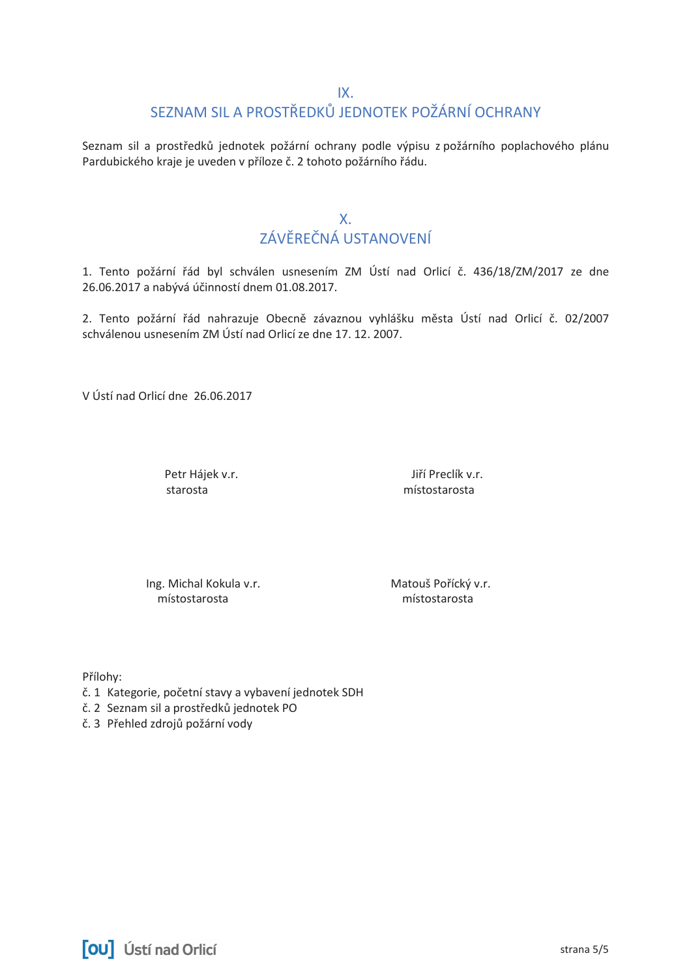### $IX$

# SEZNAM SIL A PROSTŘEDKŮ JEDNOTEK POŽÁRNÍ OCHRANY

Seznam sil a prostředků jednotek požární ochrany podle výpisu z požárního poplachového plánu Pardubického kraje je uveden v příloze č. 2 tohoto požárního řádu.

### $X_{-}$

# ZÁVĚREČNÁ USTANOVENÍ

1. Tento požární řád byl schválen usnesením ZM Ústí nad Orlicí č. 436/18/ZM/2017 ze dne 26.06.2017 a nabývá účinností dnem 01.08.2017.

2. Tento požární řád nahrazuje Obecně závaznou vyhlášku města Ústí nad Orlicí č. 02/2007 schválenou usnesením ZM Ústí nad Orlicí ze dne 17. 12. 2007.

V Ústí nad Orlicí dne 26.06.2017

Petr Hájek v.r. starosta

Jiří Preclík v.r. místostarosta

Ing. Michal Kokula v.r. místostarosta

Matouš Pořícký v.r. místostarosta

Přílohy:

- č. 1 Kategorie, početní stavy a vybavení jednotek SDH
- č. 2 Seznam sil a prostředků jednotek PO

č. 3 Přehled zdrojů požární vody

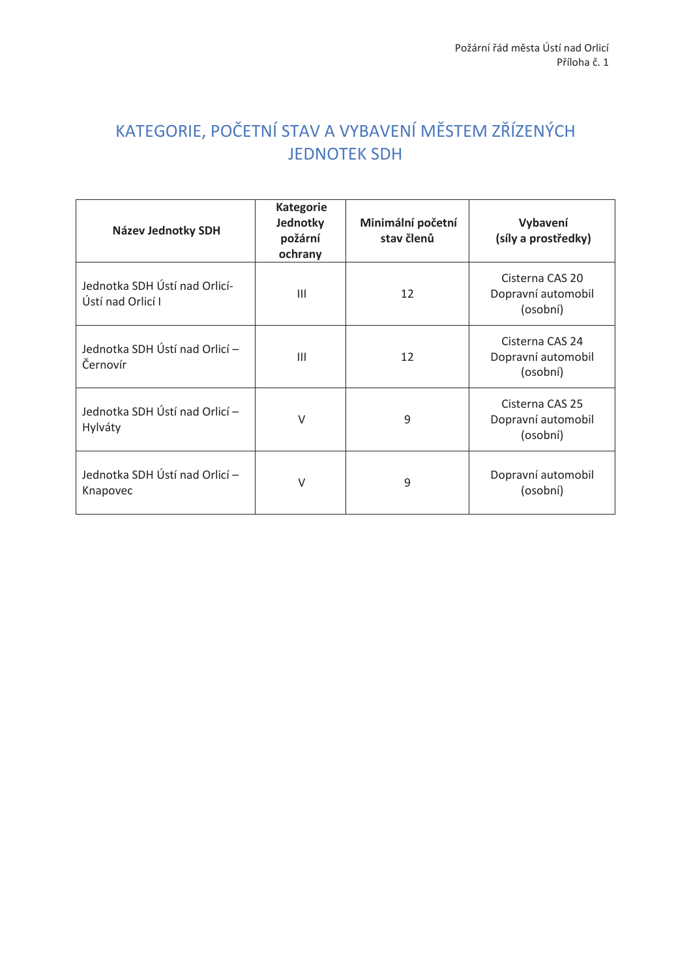# KATEGORIE, POČETNÍ STAV A VYBAVENÍ MĚSTEM ZŘÍZENÝCH **JEDNOTEK SDH**

| Název Jednotky SDH                                 | <b>Kategorie</b><br>Jednotky<br>požární<br>ochrany | Minimální početní<br>stav členů | Vybavení<br>(síly a prostředky)                   |
|----------------------------------------------------|----------------------------------------------------|---------------------------------|---------------------------------------------------|
| Jednotka SDH Ústí nad Orlicí-<br>Ústí nad Orlicí I | $\mathbf{III}$                                     | 12                              | Cisterna CAS 20<br>Dopravní automobil<br>(osobní) |
| Jednotka SDH Ústí nad Orlicí -<br>Černovír         | Ш                                                  | 12                              | Cisterna CAS 24<br>Dopravní automobil<br>(osobní) |
| Jednotka SDH Ústí nad Orlicí -<br>Hylváty          | V                                                  | 9                               | Cisterna CAS 25<br>Dopravní automobil<br>(osobní) |
| Jednotka SDH Ústí nad Orlicí –<br>Knapovec         | $\vee$                                             | 9                               | Dopravní automobil<br>(osobní)                    |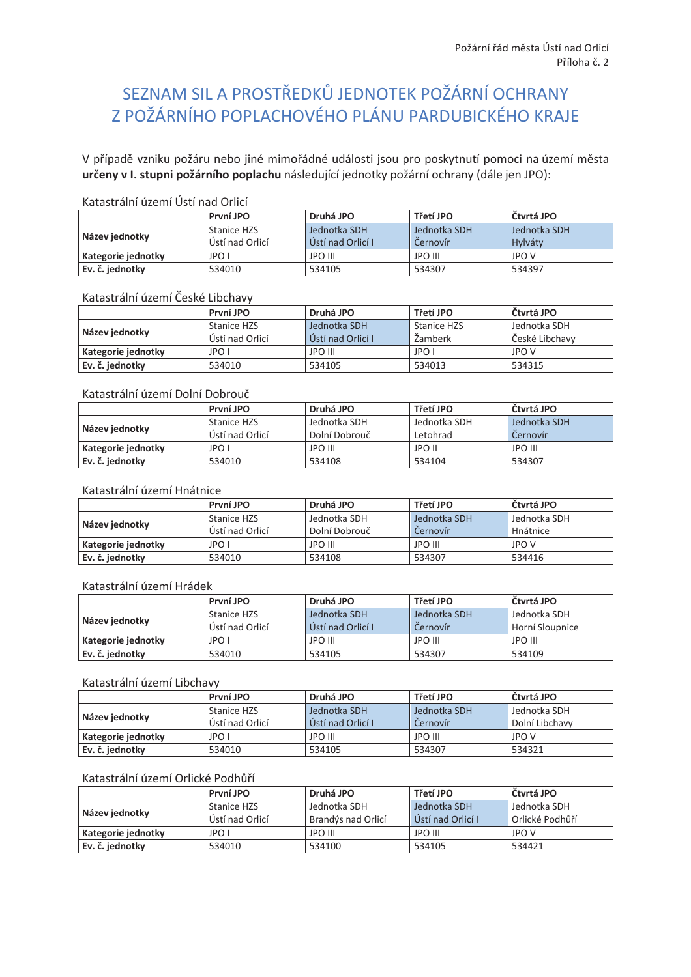# SEZNAM SIL A PROSTŘEDKŮ JEDNOTEK POŽÁRNÍ OCHRANY Z POŽÁRNÍHO POPLACHOVÉHO PLÁNU PARDUBICKÉHO KRAJE

V případě vzniku požáru nebo jiné mimořádné události jsou pro poskytnutí pomoci na území města určeny v I. stupni požárního poplachu následující jednotky požární ochrany (dále jen JPO):

### Katastrální území Ústí nad Orlicí

|                    | První JPO          | Druhá JPO         | Třetí JPO      | Čtvrtá JPO   |
|--------------------|--------------------|-------------------|----------------|--------------|
| Název jednotky     | <b>Stanice HZS</b> | Jednotka SDH      | Jednotka SDH   | Jednotka SDH |
|                    | Ústí nad Orlicí    | Ústí nad Orlicí I | Cernovír       | Hylváty      |
| Kategorie jednotky | JPO I              | JPO III           | <b>JPO III</b> | <b>JPO V</b> |
| Ev. č. jednotky    | 534010             | 534105            | 534307         | 534397       |

### Katastrální území České Libchavy

|                    | První JPO       | Druhá JPO         | Třetí JPO   | Čtvrtá JPO     |
|--------------------|-----------------|-------------------|-------------|----------------|
| Název jednotky     | Stanice HZS     | Jednotka SDH      | Stanice HZS | Jednotka SDH   |
|                    | Ústí nad Orlicí | Ústí nad Orlicí I | Žamberk     | České Libchavy |
| Kategorie jednotky | JPO I           | JPO III           | JPO I       | <b>JPO V</b>   |
| Ev. č. jednotky    | 534010          | 534105            | 534013      | 534315         |

### Katastrální území Dolní Dobrouč

|                    | První JPO       | Druhá JPO     | Třetí JPO    | Čtvrtá JPO     |
|--------------------|-----------------|---------------|--------------|----------------|
| Název jednotky     | Stanice HZS     | Jednotka SDH  | Jednotka SDH | Jednotka SDH   |
|                    | Ústí nad Orlicí | Dolní Dobrouč | Letohrad     | Cernovír       |
| Kategorie jednotky | JPO I           | JPO III       | JPO II       | <b>JPO III</b> |
| Ev. č. jednotky    | 534010          | 534108        | 534104       | 534307         |

### Katastrální území Hnátnice

|                    | První JPO       | Druhá JPO      | Třetí JPO    | Čtvrtá JPO   |
|--------------------|-----------------|----------------|--------------|--------------|
| Název jednotky     | Stanice HZS     | Jednotka SDH   | Jednotka SDH | Jednotka SDH |
|                    | Ústí nad Orlicí | Dolní Dobrouč  | Cernovír     | Hnátnice     |
| Kategorie jednotky | JPO I           | <b>JPO III</b> | JPO III      | <b>JPO V</b> |
| Ev. č. jednotky    | 534010          | 534108         | 534307       | 534416       |

#### Katastrální území Hrádek

|                    | První JPO          | Druhá JPO         | Třetí JPO      | Čtvrtá JPO      |
|--------------------|--------------------|-------------------|----------------|-----------------|
| Název jednotky     | <b>Stanice HZS</b> | Jednotka SDH      | Jednotka SDH   | Jednotka SDH    |
|                    | Ústí nad Orlicí    | Ústí nad Orlicí I | Cernovir       | Horní Sloupnice |
| Kategorie jednotky | JPO I              | JPO III           | <b>JPO III</b> | <b>JPO III</b>  |
| Ev. č. jednotky    | 534010             | 534105            | 534307         | 534109          |

#### Katastrální území Libchavy

|                    | První JPO       | Druhá JPO         | Třetí JPO    | Čtvrtá JPO     |
|--------------------|-----------------|-------------------|--------------|----------------|
| Název jednotky     | Stanice HZS     | Jednotka SDH      | Jednotka SDH | Jednotka SDH   |
|                    | Ústí nad Orlicí | Ústí nad Orlicí I | Cernovír     | Dolní Libchavy |
| Kategorie jednotky | JPO I           | <b>JPO III</b>    | JPO III      | <b>JPO V</b>   |
| Ev. č. jednotky    | 534010          | 534105            | 534307       | 534321         |

### Katastrální území Orlické Podhůří

|                    | První JPO       | Druhá JPO          | Třetí JPO          | Čtvrtá JPO      |
|--------------------|-----------------|--------------------|--------------------|-----------------|
| Název jednotky     | Stanice HZS     | Jednotka SDH       | Jednotka SDH       | Jednotka SDH    |
|                    | Ústí nad Orlicí | Brandýs nad Orlicí | LÚstí nad Orlicí L | Orlické Podhůří |
| Kategorie jednotky | JPO I           | <b>JPO III</b>     | JPO III            | <b>JPO V</b>    |
| Ev. č. jednotky    | 534010          | 534100             | 534105             | 534421          |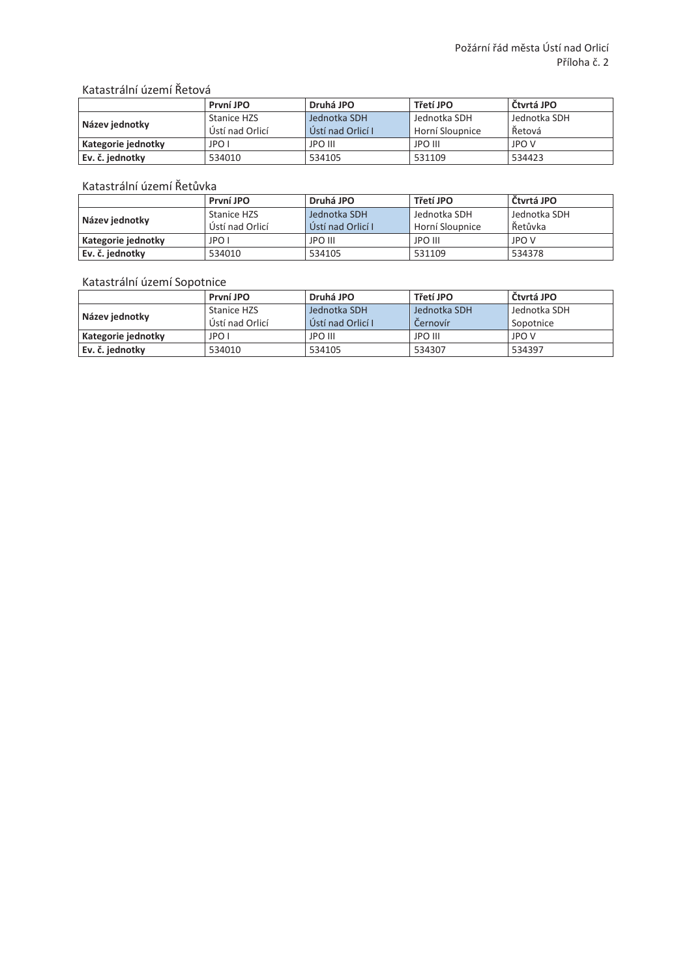### Katastrální území Řetová

|                    | První JPO       | Druhá JPO         | Třetí JPO       | Čtvrtá JPO   |
|--------------------|-----------------|-------------------|-----------------|--------------|
| Název jednotky     | Stanice HZS     | Jednotka SDH      | Jednotka SDH    | Jednotka SDH |
|                    | Ústí nad Orlicí | Ústí nad Orlicí I | Horní Sloupnice | Řetová       |
| Kategorie jednotky | JPO I           | <b>JPO III</b>    | <b>JPO III</b>  | <b>JPO V</b> |
| Ev. č. jednotky    | 534010          | 534105            | 531109          | 534423       |

### Katastrální území Řetůvka

|                    | První JPO       | Druhá JPO         | Třetí JPO       | Čtvrtá JPO   |
|--------------------|-----------------|-------------------|-----------------|--------------|
| Název jednotky     | Stanice HZS     | Jednotka SDH      | Jednotka SDH    | Jednotka SDH |
|                    | Ústí nad Orlicí | Ústí nad Orlicí I | Horní Sloupnice | Řetůvka      |
| Kategorie jednotky | JPO I           | <b>JPO III</b>    | <b>JPO III</b>  | <b>JPO V</b> |
| Ev. č. jednotky    | 534010          | 534105            | 531109          | 534378       |

### Katastrální území Sopotnice

|                    | První JPO       | Druhá JPO         | Třetí JPO      | Čtvrtá JPO   |
|--------------------|-----------------|-------------------|----------------|--------------|
| Název jednotky     | Stanice HZS     | Jednotka SDH      | Jednotka SDH   | Jednotka SDH |
|                    | Ústí nad Orlicí | Ústí nad Orlicí I | Cernovír       | Sopotnice    |
| Kategorie jednotky | JPO I           | <b>JPO III</b>    | <b>JPO III</b> | <b>JPO V</b> |
| Ev. č. jednotky    | 534010          | 534105            | 534307         | 534397       |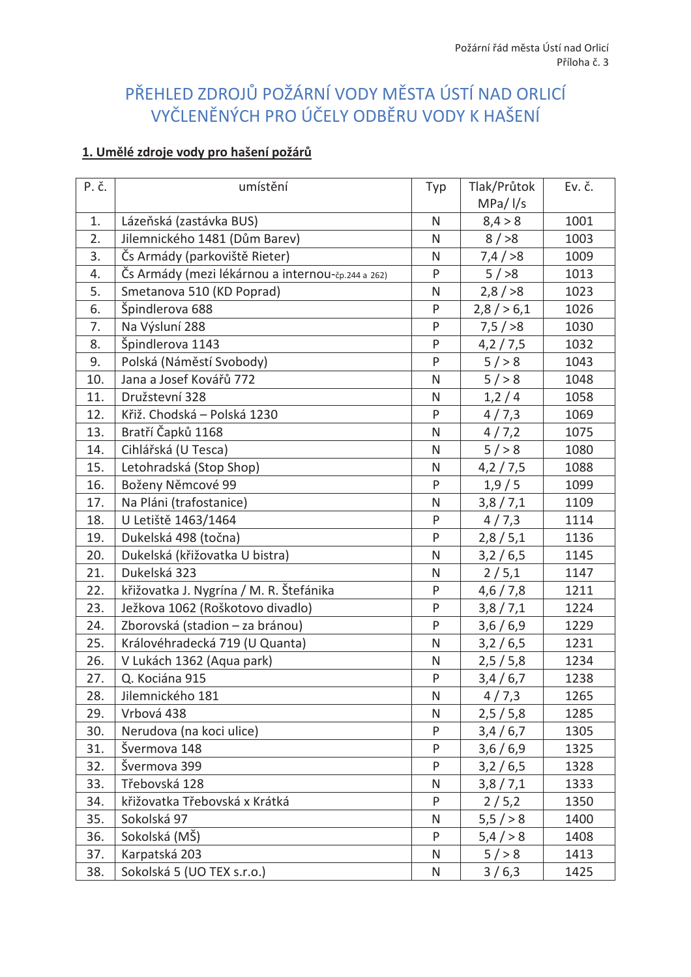# PŘEHLED ZDROJŮ POŽÁRNÍ VODY MĚSTA ÚSTÍ NAD ORLICÍ VYČLENĚNÝCH PRO ÚČELY ODBĚRU VODY K HAŠENÍ

### 1. Umělé zdroje vody pro hašení požárů

| P. č. | umístění                                          | Typ          | Tlak/Průtok  | Ev. č. |
|-------|---------------------------------------------------|--------------|--------------|--------|
|       |                                                   |              | $MPa/$ $I/s$ |        |
| 1.    | Lázeňská (zastávka BUS)                           | $\mathsf{N}$ | 8,4 > 8      | 1001   |
| 2.    | Jilemnického 1481 (Dům Barev)                     | N            | 8/>8         | 1003   |
| 3.    | Čs Armády (parkoviště Rieter)                     | $\mathsf{N}$ | 7,4/>8       | 1009   |
| 4.    | Čs Armády (mezi lékárnou a internou-čp.244 a 262) | P            | 5/>8         | 1013   |
| 5.    | Smetanova 510 (KD Poprad)                         | $\mathsf{N}$ | 2,8/>8       | 1023   |
| 6.    | Špindlerova 688                                   | P            | $2,8/$ > 6,1 | 1026   |
| 7.    | Na Výsluní 288                                    | P            | 7,5/>8       | 1030   |
| 8.    | Špindlerova 1143                                  | P            | 4,2/7,5      | 1032   |
| 9.    | Polská (Náměstí Svobody)                          | P            | $5/$ > 8     | 1043   |
| 10.   | Jana a Josef Kovářů 772                           | N            | $5/$ > 8     | 1048   |
| 11.   | Družstevní 328                                    | N            | 1,2/4        | 1058   |
| 12.   | Křiž. Chodská – Polská 1230                       | P            | 4/7,3        | 1069   |
| 13.   | Bratří Čapků 1168                                 | N            | 4/7,2        | 1075   |
| 14.   | Cihlářská (U Tesca)                               | $\mathsf{N}$ | $5/$ > 8     | 1080   |
| 15.   | Letohradská (Stop Shop)                           | $\mathsf{N}$ | 4,2/7,5      | 1088   |
| 16.   | Boženy Němcové 99                                 | P            | 1,9/5        | 1099   |
| 17.   | Na Pláni (trafostanice)                           | N            | 3,8/7,1      | 1109   |
| 18.   | U Letiště 1463/1464                               | P            | 4/7,3        | 1114   |
| 19.   | Dukelská 498 (točna)                              | P            | 2,8/5,1      | 1136   |
| 20.   | Dukelská (křižovatka U bistra)                    | $\mathsf{N}$ | 3,2/6,5      | 1145   |
| 21.   | Dukelská 323                                      | N            | 2/5,1        | 1147   |
| 22.   | křižovatka J. Nygrína / M. R. Štefánika           | P            | 4,6/7,8      | 1211   |
| 23.   | Ježkova 1062 (Roškotovo divadlo)                  | P            | 3,8/7,1      | 1224   |
| 24.   | Zborovská (stadion - za bránou)                   | P            | 3,6/6,9      | 1229   |
| 25.   | Královéhradecká 719 (U Quanta)                    | N            | 3,2/6,5      | 1231   |
| 26.   | V Lukách 1362 (Aqua park)                         | N            | 2,5/5,8      | 1234   |
| 27.   | Q. Kociána 915                                    | P            | 3,4/6,7      | 1238   |
| 28.   | Jilemnického 181                                  | ${\sf N}$    | 4/7,3        | 1265   |
| 29.   | Vrbová 438                                        | N            | 2,5/5,8      | 1285   |
| 30.   | Nerudova (na koci ulice)                          | P            | 3,4/6,7      | 1305   |
| 31.   | Švermova 148                                      | P            | 3,6/6,9      | 1325   |
| 32.   | Švermova 399                                      | P            | 3,2/6,5      | 1328   |
| 33.   | Třebovská 128                                     | N            | 3,8/7,1      | 1333   |
| 34.   | křižovatka Třebovská x Krátká                     | P            | 2/5,2        | 1350   |
| 35.   | Sokolská 97                                       | $\mathsf{N}$ | 5,5/>8       | 1400   |
| 36.   | Sokolská (MŠ)                                     | P            | 5,4/>8       | 1408   |
| 37.   | Karpatská 203                                     | N            | 5 / > 8      | 1413   |
| 38.   | Sokolská 5 (UO TEX s.r.o.)                        | N            | 3/6,3        | 1425   |